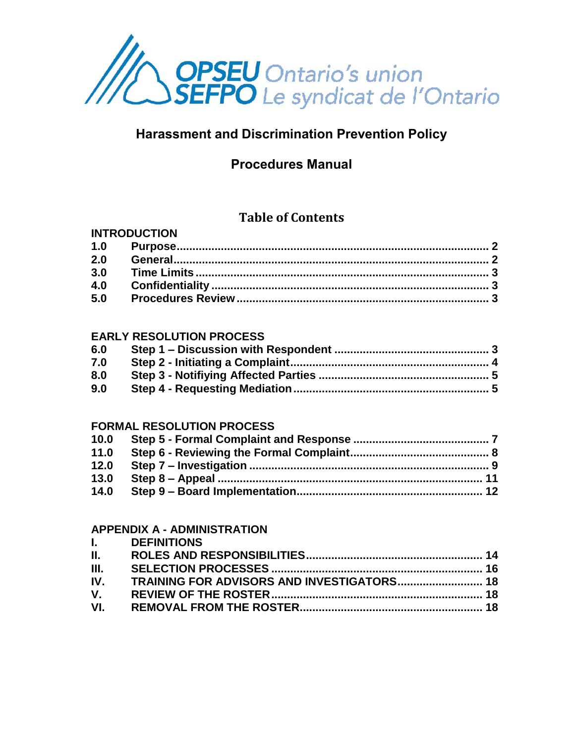

# **Harassment and Discrimination Prevention Policy**

# **Procedures Manual**

# **Table of Contents**

## **INTRODUCTION**

| 2.0 |  |
|-----|--|
| 3.0 |  |
| 4.0 |  |
| 5.0 |  |

#### **EARLY RESOLUTION PROCESS**

| 6.0 |  |
|-----|--|
| 7.0 |  |
| 8.0 |  |
| 9.0 |  |

#### **FORMAL RESOLUTION PROCESS**

| 10.0 |  |
|------|--|
| 11.0 |  |
| 12.0 |  |
| 13.0 |  |
| 14.0 |  |
|      |  |

## **APPENDIX A - ADMINISTRATION**

|              | <b>I.</b> DEFINITIONS                          |  |
|--------------|------------------------------------------------|--|
| II. I        |                                                |  |
| III. -       |                                                |  |
|              | IV. TRAINING FOR ADVISORS AND INVESTIGATORS 18 |  |
| $V_{\rm{1}}$ |                                                |  |
|              |                                                |  |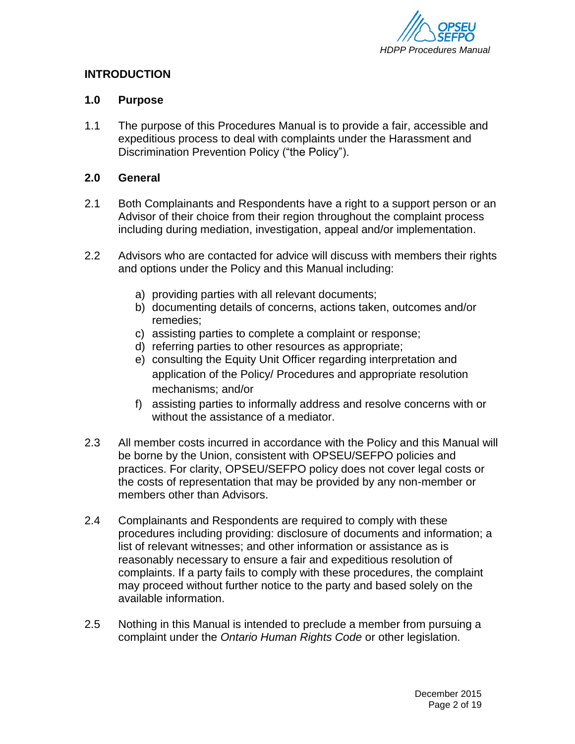

#### **INTRODUCTION**

#### <span id="page-1-0"></span>**1.0 Purpose**

1.1 The purpose of this Procedures Manual is to provide a fair, accessible and expeditious process to deal with complaints under the Harassment and Discrimination Prevention Policy ("the Policy").

#### <span id="page-1-1"></span>**2.0 General**

- 2.1 Both Complainants and Respondents have a right to a support person or an Advisor of their choice from their region throughout the complaint process including during mediation, investigation, appeal and/or implementation.
- 2.2 Advisors who are contacted for advice will discuss with members their rights and options under the Policy and this Manual including:
	- a) providing parties with all relevant documents;
	- b) documenting details of concerns, actions taken, outcomes and/or remedies;
	- c) assisting parties to complete a complaint or response;
	- d) referring parties to other resources as appropriate;
	- e) consulting the Equity Unit Officer regarding interpretation and application of the Policy/ Procedures and appropriate resolution mechanisms; and/or
	- f) assisting parties to informally address and resolve concerns with or without the assistance of a mediator.
- 2.3 All member costs incurred in accordance with the Policy and this Manual will be borne by the Union, consistent with OPSEU/SEFPO policies and practices. For clarity, OPSEU/SEFPO policy does not cover legal costs or the costs of representation that may be provided by any non-member or members other than Advisors.
- 2.4 Complainants and Respondents are required to comply with these procedures including providing: disclosure of documents and information; a list of relevant witnesses; and other information or assistance as is reasonably necessary to ensure a fair and expeditious resolution of complaints. If a party fails to comply with these procedures, the complaint may proceed without further notice to the party and based solely on the available information.
- 2.5 Nothing in this Manual is intended to preclude a member from pursuing a complaint under the *Ontario Human Rights Code* or other legislation.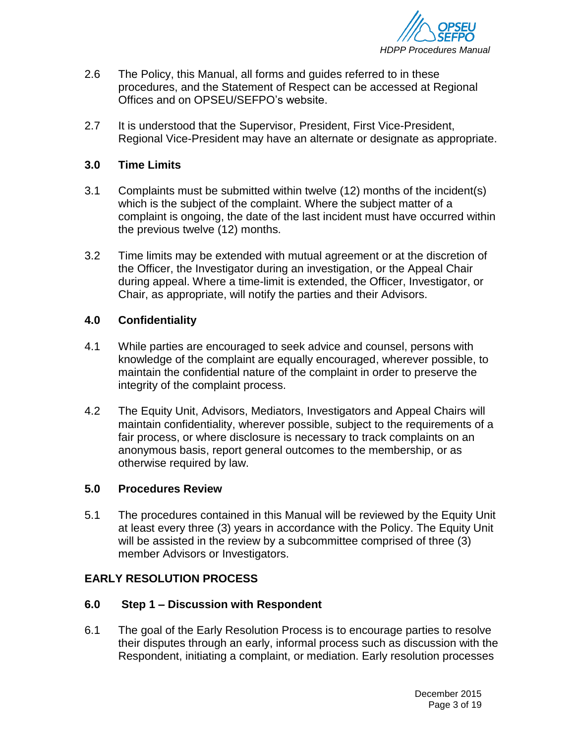

- 2.6 The Policy, this Manual, all forms and guides referred to in these procedures, and the Statement of Respect can be accessed at Regional Offices and on OPSEU/SEFPO's website.
- 2.7 It is understood that the Supervisor, President, First Vice-President, Regional Vice-President may have an alternate or designate as appropriate.

#### <span id="page-2-0"></span>**3.0 Time Limits**

- 3.1 Complaints must be submitted within twelve (12) months of the incident(s) which is the subject of the complaint. Where the subject matter of a complaint is ongoing, the date of the last incident must have occurred within the previous twelve (12) months.
- 3.2 Time limits may be extended with mutual agreement or at the discretion of the Officer, the Investigator during an investigation, or the Appeal Chair during appeal. Where a time-limit is extended, the Officer, Investigator, or Chair, as appropriate, will notify the parties and their Advisors.

#### <span id="page-2-1"></span>**4.0 Confidentiality**

- 4.1 While parties are encouraged to seek advice and counsel, persons with knowledge of the complaint are equally encouraged, wherever possible, to maintain the confidential nature of the complaint in order to preserve the integrity of the complaint process.
- 4.2 The Equity Unit, Advisors, Mediators, Investigators and Appeal Chairs will maintain confidentiality, wherever possible, subject to the requirements of a fair process, or where disclosure is necessary to track complaints on an anonymous basis, report general outcomes to the membership, or as otherwise required by law.

#### <span id="page-2-2"></span>**5.0 Procedures Review**

5.1 The procedures contained in this Manual will be reviewed by the Equity Unit at least every three (3) years in accordance with the Policy. The Equity Unit will be assisted in the review by a subcommittee comprised of three (3) member Advisors or Investigators.

## **EARLY RESOLUTION PROCESS**

#### <span id="page-2-3"></span>**6.0 Step 1 – Discussion with Respondent**

6.1 The goal of the Early Resolution Process is to encourage parties to resolve their disputes through an early, informal process such as discussion with the Respondent, initiating a complaint, or mediation. Early resolution processes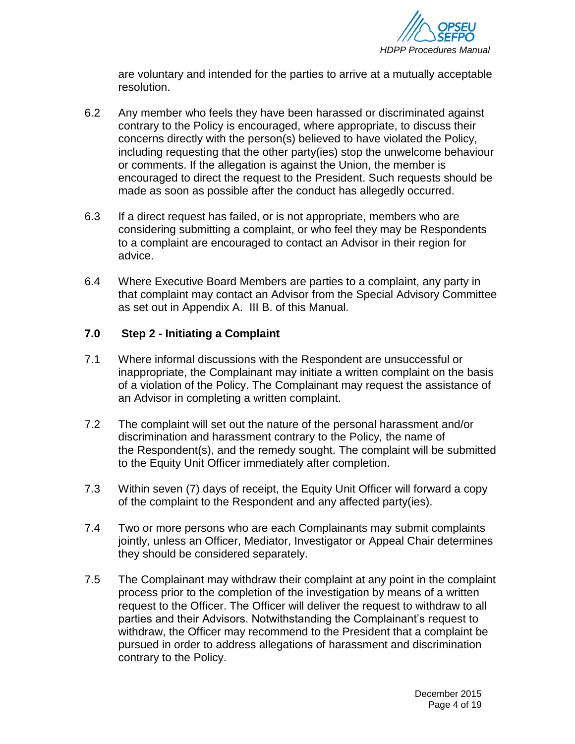

are voluntary and intended for the parties to arrive at a mutually acceptable resolution.

- 6.2 Any member who feels they have been harassed or discriminated against contrary to the Policy is encouraged, where appropriate, to discuss their concerns directly with the person(s) believed to have violated the Policy, including requesting that the other party(ies) stop the unwelcome behaviour or comments. If the allegation is against the Union, the member is encouraged to direct the request to the President. Such requests should be made as soon as possible after the conduct has allegedly occurred.
- 6.3 If a direct request has failed, or is not appropriate, members who are considering submitting a complaint, or who feel they may be Respondents to a complaint are encouraged to contact an Advisor in their region for advice.
- 6.4 Where Executive Board Members are parties to a complaint, any party in that complaint may contact an Advisor from the Special Advisory Committee as set out in Appendix A. III B. of this Manual.

#### <span id="page-3-0"></span>**7.0 Step 2 - Initiating a Complaint**

- 7.1 Where informal discussions with the Respondent are unsuccessful or inappropriate, the Complainant may initiate a written complaint on the basis of a violation of the Policy. The Complainant may request the assistance of an Advisor in completing a written complaint.
- 7.2 The complaint will set out the nature of the personal harassment and/or discrimination and harassment contrary to the Policy*,* the name of the Respondent(s), and the remedy sought. The complaint will be submitted to the Equity Unit Officer immediately after completion.
- 7.3 Within seven (7) days of receipt, the Equity Unit Officer will forward a copy of the complaint to the Respondent and any affected party(ies).
- 7.4 Two or more persons who are each Complainants may submit complaints jointly, unless an Officer, Mediator, Investigator or Appeal Chair determines they should be considered separately.
- 7.5 The Complainant may withdraw their complaint at any point in the complaint process prior to the completion of the investigation by means of a written request to the Officer. The Officer will deliver the request to withdraw to all parties and their Advisors. Notwithstanding the Complainant's request to withdraw, the Officer may recommend to the President that a complaint be pursued in order to address allegations of harassment and discrimination contrary to the Policy.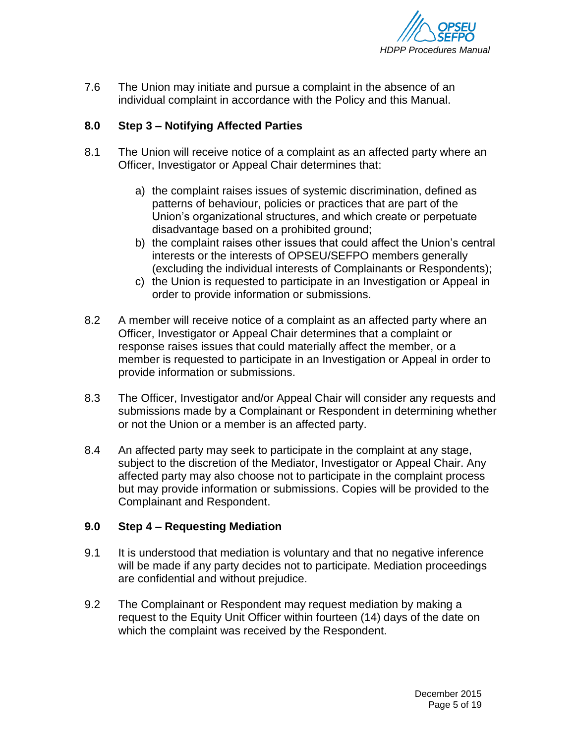

7.6 The Union may initiate and pursue a complaint in the absence of an individual complaint in accordance with the Policy and this Manual.

## **8.0 Step 3 – Notifying Affected Parties**

- 8.1 The Union will receive notice of a complaint as an affected party where an Officer, Investigator or Appeal Chair determines that:
	- a) the complaint raises issues of systemic discrimination, defined as patterns of behaviour, policies or practices that are part of the Union's organizational structures, and which create or perpetuate disadvantage based on a prohibited ground;
	- b) the complaint raises other issues that could affect the Union's central interests or the interests of OPSEU/SEFPO members generally (excluding the individual interests of Complainants or Respondents);
	- c) the Union is requested to participate in an Investigation or Appeal in order to provide information or submissions.
- 8.2 A member will receive notice of a complaint as an affected party where an Officer, Investigator or Appeal Chair determines that a complaint or response raises issues that could materially affect the member, or a member is requested to participate in an Investigation or Appeal in order to provide information or submissions.
- 8.3 The Officer, Investigator and/or Appeal Chair will consider any requests and submissions made by a Complainant or Respondent in determining whether or not the Union or a member is an affected party.
- 8.4 An affected party may seek to participate in the complaint at any stage, subject to the discretion of the Mediator, Investigator or Appeal Chair. Any affected party may also choose not to participate in the complaint process but may provide information or submissions. Copies will be provided to the Complainant and Respondent.

## <span id="page-4-0"></span>**9.0 Step 4 – Requesting Mediation**

- 9.1 It is understood that mediation is voluntary and that no negative inference will be made if any party decides not to participate. Mediation proceedings are confidential and without prejudice.
- 9.2 The Complainant or Respondent may request mediation by making a request to the Equity Unit Officer within fourteen (14) days of the date on which the complaint was received by the Respondent.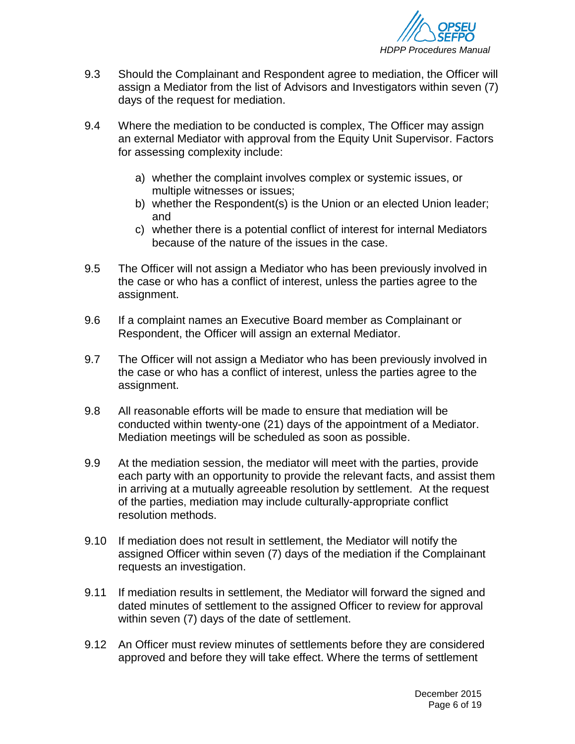

- 9.3 Should the Complainant and Respondent agree to mediation, the Officer will assign a Mediator from the list of Advisors and Investigators within seven (7) days of the request for mediation.
- 9.4 Where the mediation to be conducted is complex, The Officer may assign an external Mediator with approval from the Equity Unit Supervisor. Factors for assessing complexity include:
	- a) whether the complaint involves complex or systemic issues, or multiple witnesses or issues;
	- b) whether the Respondent(s) is the Union or an elected Union leader; and
	- c) whether there is a potential conflict of interest for internal Mediators because of the nature of the issues in the case.
- 9.5 The Officer will not assign a Mediator who has been previously involved in the case or who has a conflict of interest, unless the parties agree to the assignment.
- 9.6 If a complaint names an Executive Board member as Complainant or Respondent, the Officer will assign an external Mediator.
- 9.7 The Officer will not assign a Mediator who has been previously involved in the case or who has a conflict of interest, unless the parties agree to the assignment.
- 9.8 All reasonable efforts will be made to ensure that mediation will be conducted within twenty-one (21) days of the appointment of a Mediator. Mediation meetings will be scheduled as soon as possible.
- 9.9 At the mediation session, the mediator will meet with the parties, provide each party with an opportunity to provide the relevant facts, and assist them in arriving at a mutually agreeable resolution by settlement. At the request of the parties, mediation may include culturally-appropriate conflict resolution methods.
- 9.10 If mediation does not result in settlement, the Mediator will notify the assigned Officer within seven (7) days of the mediation if the Complainant requests an investigation.
- 9.11 If mediation results in settlement, the Mediator will forward the signed and dated minutes of settlement to the assigned Officer to review for approval within seven (7) days of the date of settlement.
- 9.12 An Officer must review minutes of settlements before they are considered approved and before they will take effect. Where the terms of settlement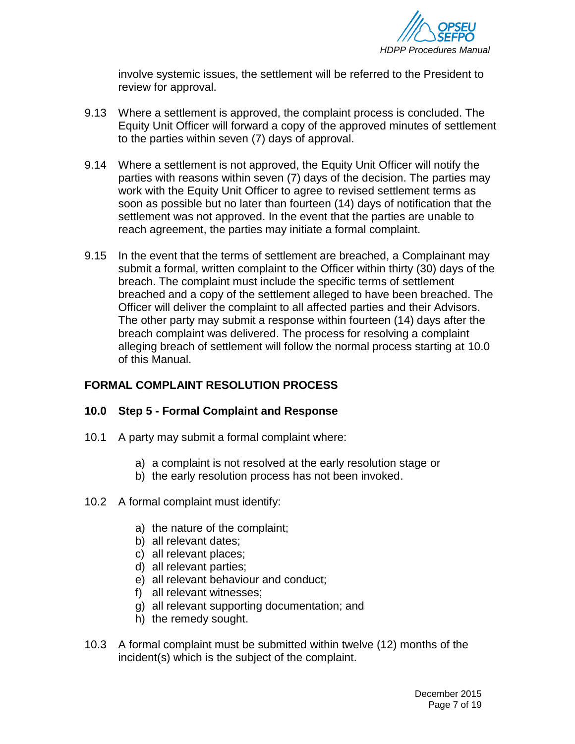

involve systemic issues, the settlement will be referred to the President to review for approval.

- 9.13 Where a settlement is approved, the complaint process is concluded. The Equity Unit Officer will forward a copy of the approved minutes of settlement to the parties within seven (7) days of approval.
- 9.14 Where a settlement is not approved, the Equity Unit Officer will notify the parties with reasons within seven (7) days of the decision. The parties may work with the Equity Unit Officer to agree to revised settlement terms as soon as possible but no later than fourteen (14) days of notification that the settlement was not approved. In the event that the parties are unable to reach agreement, the parties may initiate a formal complaint.
- 9.15 In the event that the terms of settlement are breached, a Complainant may submit a formal, written complaint to the Officer within thirty (30) days of the breach. The complaint must include the specific terms of settlement breached and a copy of the settlement alleged to have been breached. The Officer will deliver the complaint to all affected parties and their Advisors. The other party may submit a response within fourteen (14) days after the breach complaint was delivered. The process for resolving a complaint alleging breach of settlement will follow the normal process starting at 10.0 of this Manual.

## **FORMAL COMPLAINT RESOLUTION PROCESS**

#### <span id="page-6-0"></span>**10.0 Step 5 - Formal Complaint and Response**

- 10.1 A party may submit a formal complaint where:
	- a) a complaint is not resolved at the early resolution stage or
	- b) the early resolution process has not been invoked.
- 10.2 A formal complaint must identify:
	- a) the nature of the complaint;
	- b) all relevant dates;
	- c) all relevant places;
	- d) all relevant parties;
	- e) all relevant behaviour and conduct;
	- f) all relevant witnesses;
	- g) all relevant supporting documentation; and
	- h) the remedy sought.
- 10.3 A formal complaint must be submitted within twelve (12) months of the incident(s) which is the subject of the complaint.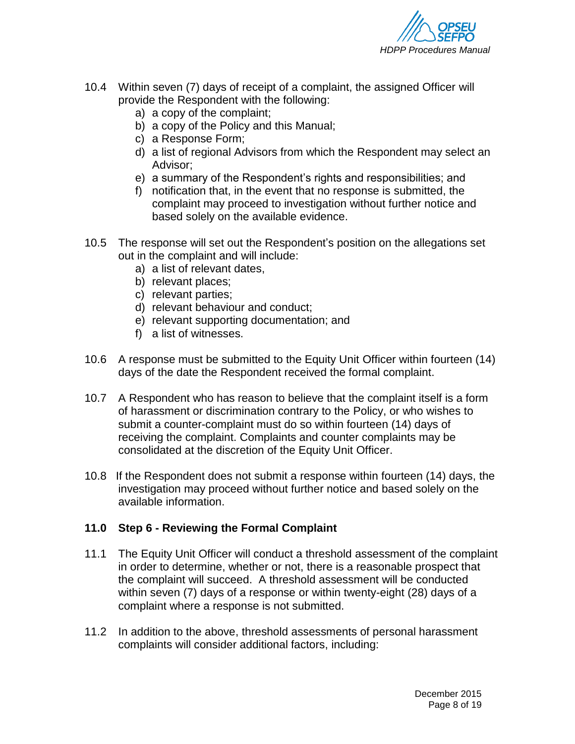

- 10.4 Within seven (7) days of receipt of a complaint, the assigned Officer will provide the Respondent with the following:
	- a) a copy of the complaint;
	- b) a copy of the Policy and this Manual;
	- c) a Response Form;
	- d) a list of regional Advisors from which the Respondent may select an Advisor;
	- e) a summary of the Respondent's rights and responsibilities; and
	- f) notification that, in the event that no response is submitted, the complaint may proceed to investigation without further notice and based solely on the available evidence.
- 10.5 The response will set out the Respondent's position on the allegations set out in the complaint and will include:
	- a) a list of relevant dates,
	- b) relevant places;
	- c) relevant parties;
	- d) relevant behaviour and conduct;
	- e) relevant supporting documentation; and
	- f) a list of witnesses.
- 10.6 A response must be submitted to the Equity Unit Officer within fourteen (14) days of the date the Respondent received the formal complaint.
- 10.7 A Respondent who has reason to believe that the complaint itself is a form of harassment or discrimination contrary to the Policy, or who wishes to submit a counter-complaint must do so within fourteen (14) days of receiving the complaint. Complaints and counter complaints may be consolidated at the discretion of the Equity Unit Officer.
- 10.8 If the Respondent does not submit a response within fourteen (14) days, the investigation may proceed without further notice and based solely on the available information.

#### <span id="page-7-0"></span>**11.0 Step 6 - Reviewing the Formal Complaint**

- 11.1 The Equity Unit Officer will conduct a threshold assessment of the complaint in order to determine, whether or not, there is a reasonable prospect that the complaint will succeed. A threshold assessment will be conducted within seven (7) days of a response or within twenty-eight (28) days of a complaint where a response is not submitted.
- 11.2 In addition to the above, threshold assessments of personal harassment complaints will consider additional factors, including: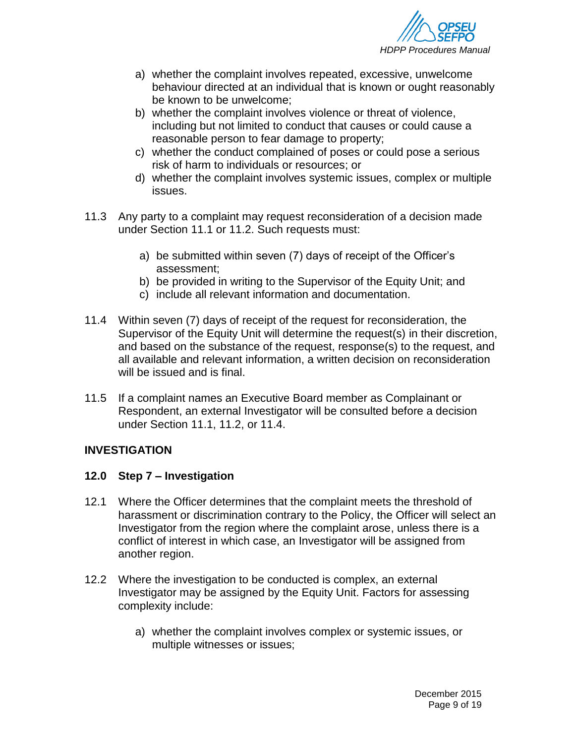

- a) whether the complaint involves repeated, excessive, unwelcome behaviour directed at an individual that is known or ought reasonably be known to be unwelcome;
- b) whether the complaint involves violence or threat of violence, including but not limited to conduct that causes or could cause a reasonable person to fear damage to property;
- c) whether the conduct complained of poses or could pose a serious risk of harm to individuals or resources; or
- d) whether the complaint involves systemic issues, complex or multiple issues.
- 11.3 Any party to a complaint may request reconsideration of a decision made under Section 11.1 or 11.2. Such requests must:
	- a) be submitted within seven (7) days of receipt of the Officer's assessment;
	- b) be provided in writing to the Supervisor of the Equity Unit; and
	- c) include all relevant information and documentation.
- 11.4 Within seven (7) days of receipt of the request for reconsideration, the Supervisor of the Equity Unit will determine the request(s) in their discretion, and based on the substance of the request, response(s) to the request, and all available and relevant information, a written decision on reconsideration will be issued and is final.
- 11.5 If a complaint names an Executive Board member as Complainant or Respondent, an external Investigator will be consulted before a decision under Section 11.1, 11.2, or 11.4.

## **INVESTIGATION**

#### <span id="page-8-0"></span>**12.0 Step 7 – Investigation**

- 12.1 Where the Officer determines that the complaint meets the threshold of harassment or discrimination contrary to the Policy, the Officer will select an Investigator from the region where the complaint arose, unless there is a conflict of interest in which case, an Investigator will be assigned from another region.
- 12.2 Where the investigation to be conducted is complex, an external Investigator may be assigned by the Equity Unit. Factors for assessing complexity include:
	- a) whether the complaint involves complex or systemic issues, or multiple witnesses or issues;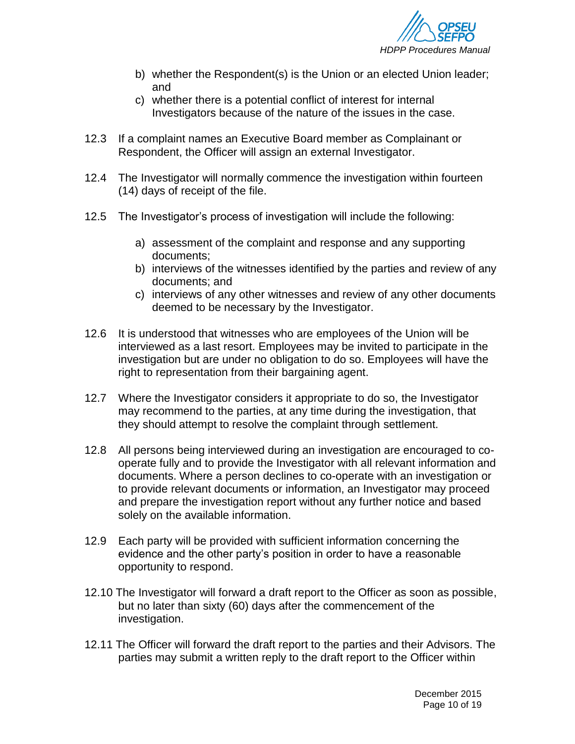

- b) whether the Respondent(s) is the Union or an elected Union leader; and
- c) whether there is a potential conflict of interest for internal Investigators because of the nature of the issues in the case.
- 12.3 If a complaint names an Executive Board member as Complainant or Respondent, the Officer will assign an external Investigator.
- 12.4 The Investigator will normally commence the investigation within fourteen (14) days of receipt of the file.
- 12.5 The Investigator's process of investigation will include the following:
	- a) assessment of the complaint and response and any supporting documents;
	- b) interviews of the witnesses identified by the parties and review of any documents; and
	- c) interviews of any other witnesses and review of any other documents deemed to be necessary by the Investigator.
- 12.6 It is understood that witnesses who are employees of the Union will be interviewed as a last resort. Employees may be invited to participate in the investigation but are under no obligation to do so. Employees will have the right to representation from their bargaining agent.
- 12.7 Where the Investigator considers it appropriate to do so, the Investigator may recommend to the parties, at any time during the investigation, that they should attempt to resolve the complaint through settlement.
- 12.8 All persons being interviewed during an investigation are encouraged to cooperate fully and to provide the Investigator with all relevant information and documents. Where a person declines to co-operate with an investigation or to provide relevant documents or information, an Investigator may proceed and prepare the investigation report without any further notice and based solely on the available information.
- 12.9 Each party will be provided with sufficient information concerning the evidence and the other party's position in order to have a reasonable opportunity to respond.
- 12.10 The Investigator will forward a draft report to the Officer as soon as possible, but no later than sixty (60) days after the commencement of the investigation.
- 12.11 The Officer will forward the draft report to the parties and their Advisors. The parties may submit a written reply to the draft report to the Officer within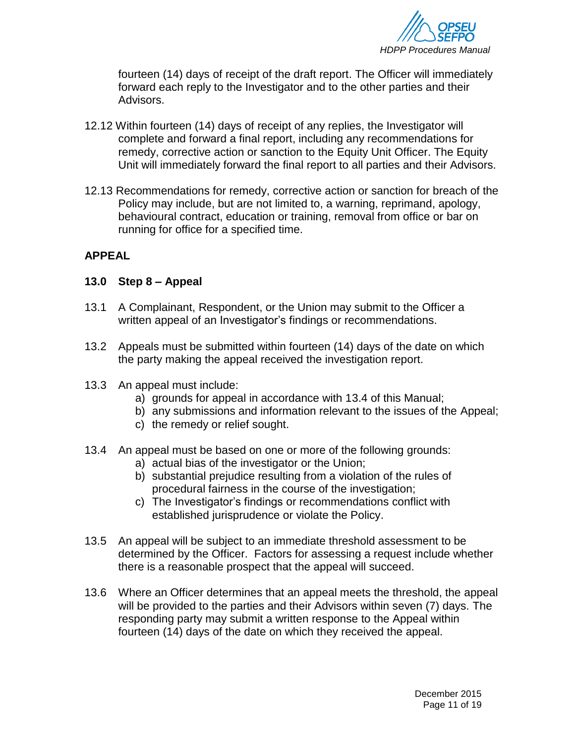

fourteen (14) days of receipt of the draft report. The Officer will immediately forward each reply to the Investigator and to the other parties and their Advisors.

- 12.12 Within fourteen (14) days of receipt of any replies, the Investigator will complete and forward a final report, including any recommendations for remedy, corrective action or sanction to the Equity Unit Officer. The Equity Unit will immediately forward the final report to all parties and their Advisors.
- 12.13 Recommendations for remedy, corrective action or sanction for breach of the Policy may include, but are not limited to, a warning, reprimand, apology, behavioural contract, education or training, removal from office or bar on running for office for a specified time.

## **APPEAL**

#### <span id="page-10-0"></span>**13.0 Step 8 – Appeal**

- 13.1 A Complainant, Respondent, or the Union may submit to the Officer a written appeal of an Investigator's findings or recommendations.
- 13.2 Appeals must be submitted within fourteen (14) days of the date on which the party making the appeal received the investigation report.
- 13.3 An appeal must include:
	- a) grounds for appeal in accordance with 13.4 of this Manual;
	- b) any submissions and information relevant to the issues of the Appeal;
	- c) the remedy or relief sought.
- 13.4 An appeal must be based on one or more of the following grounds:
	- a) actual bias of the investigator or the Union;
	- b) substantial prejudice resulting from a violation of the rules of procedural fairness in the course of the investigation;
	- c) The Investigator's findings or recommendations conflict with established jurisprudence or violate the Policy.
- 13.5 An appeal will be subject to an immediate threshold assessment to be determined by the Officer. Factors for assessing a request include whether there is a reasonable prospect that the appeal will succeed.
- 13.6 Where an Officer determines that an appeal meets the threshold, the appeal will be provided to the parties and their Advisors within seven (7) days. The responding party may submit a written response to the Appeal within fourteen (14) days of the date on which they received the appeal.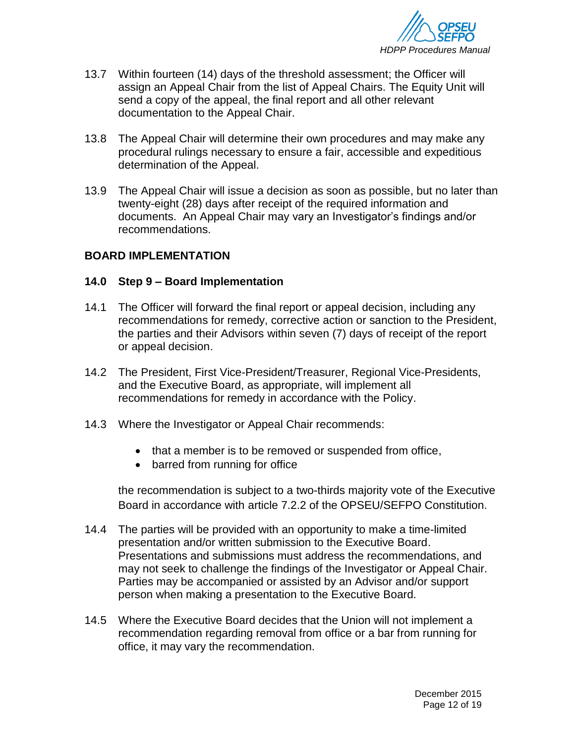

- 13.7 Within fourteen (14) days of the threshold assessment; the Officer will assign an Appeal Chair from the list of Appeal Chairs. The Equity Unit will send a copy of the appeal, the final report and all other relevant documentation to the Appeal Chair.
- 13.8 The Appeal Chair will determine their own procedures and may make any procedural rulings necessary to ensure a fair, accessible and expeditious determination of the Appeal.
- 13.9 The Appeal Chair will issue a decision as soon as possible, but no later than twenty-eight (28) days after receipt of the required information and documents. An Appeal Chair may vary an Investigator's findings and/or recommendations.

#### **BOARD IMPLEMENTATION**

#### <span id="page-11-0"></span>**14.0 Step 9 – Board Implementation**

- 14.1 The Officer will forward the final report or appeal decision, including any recommendations for remedy, corrective action or sanction to the President, the parties and their Advisors within seven (7) days of receipt of the report or appeal decision.
- 14.2 The President, First Vice-President/Treasurer, Regional Vice-Presidents, and the Executive Board, as appropriate, will implement all recommendations for remedy in accordance with the Policy.
- 14.3 Where the Investigator or Appeal Chair recommends:
	- that a member is to be removed or suspended from office,
	- barred from running for office

the recommendation is subject to a two-thirds majority vote of the Executive Board in accordance with article 7.2.2 of the OPSEU/SEFPO Constitution.

- 14.4 The parties will be provided with an opportunity to make a time-limited presentation and/or written submission to the Executive Board. Presentations and submissions must address the recommendations, and may not seek to challenge the findings of the Investigator or Appeal Chair. Parties may be accompanied or assisted by an Advisor and/or support person when making a presentation to the Executive Board.
- 14.5 Where the Executive Board decides that the Union will not implement a recommendation regarding removal from office or a bar from running for office, it may vary the recommendation.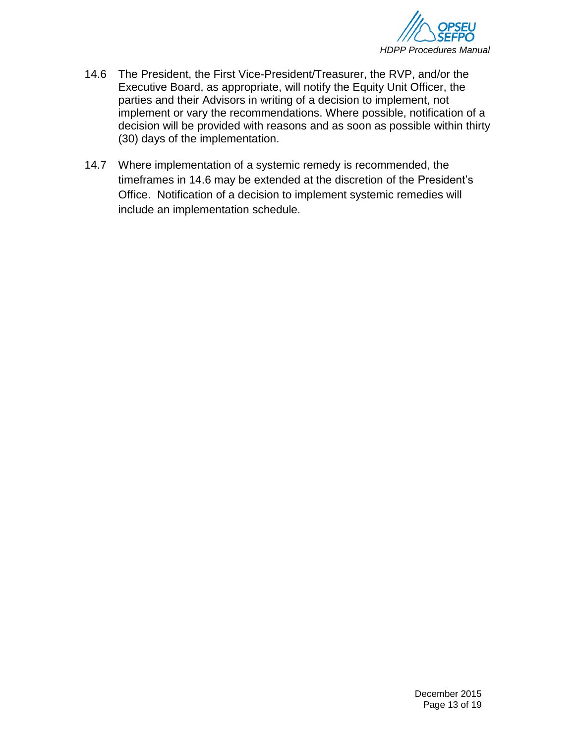

- 14.6 The President, the First Vice-President/Treasurer, the RVP, and/or the Executive Board, as appropriate, will notify the Equity Unit Officer, the parties and their Advisors in writing of a decision to implement, not implement or vary the recommendations. Where possible, notification of a decision will be provided with reasons and as soon as possible within thirty (30) days of the implementation.
- 14.7 Where implementation of a systemic remedy is recommended, the timeframes in 14.6 may be extended at the discretion of the President's Office. Notification of a decision to implement systemic remedies will include an implementation schedule.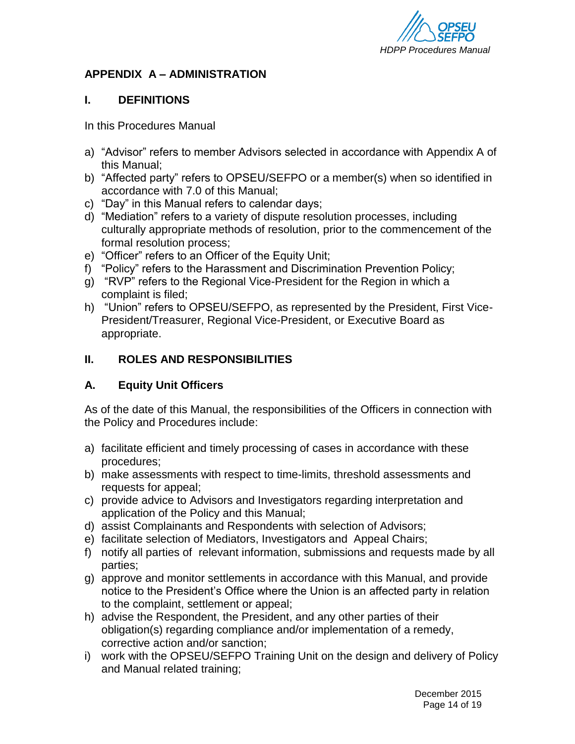

## **APPENDIX A – ADMINISTRATION**

## **I. DEFINITIONS**

In this Procedures Manual

- a) "Advisor" refers to member Advisors selected in accordance with Appendix A of this Manual;
- b) "Affected party" refers to OPSEU/SEFPO or a member(s) when so identified in accordance with 7.0 of this Manual;
- c) "Day" in this Manual refers to calendar days;
- d) "Mediation" refers to a variety of dispute resolution processes, including culturally appropriate methods of resolution, prior to the commencement of the formal resolution process;
- e) "Officer" refers to an Officer of the Equity Unit;
- f) "Policy" refers to the Harassment and Discrimination Prevention Policy;
- g) "RVP" refers to the Regional Vice-President for the Region in which a complaint is filed;
- h) "Union" refers to OPSEU/SEFPO, as represented by the President, First Vice-President/Treasurer, Regional Vice-President, or Executive Board as appropriate.

## <span id="page-13-0"></span>**II. ROLES AND RESPONSIBILITIES**

## **A. Equity Unit Officers**

As of the date of this Manual, the responsibilities of the Officers in connection with the Policy and Procedures include:

- a) facilitate efficient and timely processing of cases in accordance with these procedures;
- b) make assessments with respect to time-limits, threshold assessments and requests for appeal;
- c) provide advice to Advisors and Investigators regarding interpretation and application of the Policy and this Manual;
- d) assist Complainants and Respondents with selection of Advisors;
- e) facilitate selection of Mediators, Investigators and Appeal Chairs;
- f) notify all parties of relevant information, submissions and requests made by all parties;
- g) approve and monitor settlements in accordance with this Manual, and provide notice to the President's Office where the Union is an affected party in relation to the complaint, settlement or appeal;
- h) advise the Respondent, the President, and any other parties of their obligation(s) regarding compliance and/or implementation of a remedy, corrective action and/or sanction;
- i) work with the OPSEU/SEFPO Training Unit on the design and delivery of Policy and Manual related training;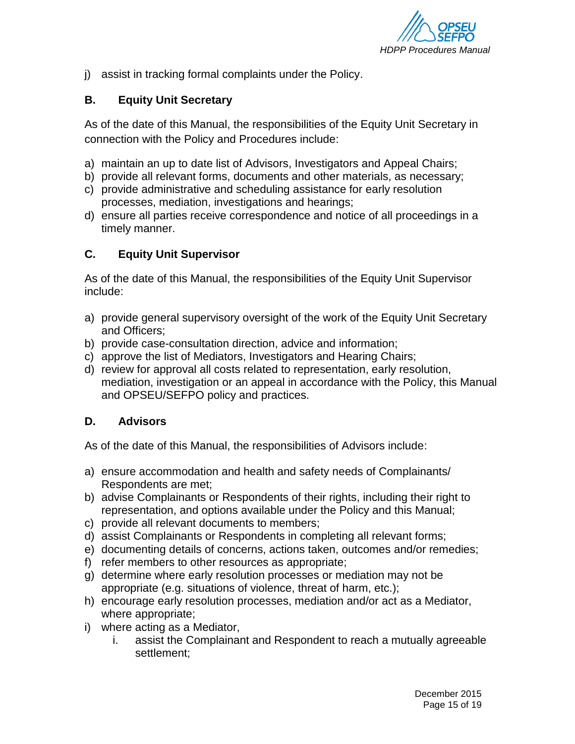

j) assist in tracking formal complaints under the Policy.

## **B. Equity Unit Secretary**

As of the date of this Manual, the responsibilities of the Equity Unit Secretary in connection with the Policy and Procedures include:

- a) maintain an up to date list of Advisors, Investigators and Appeal Chairs;
- b) provide all relevant forms, documents and other materials, as necessary;
- c) provide administrative and scheduling assistance for early resolution processes, mediation, investigations and hearings;
- d) ensure all parties receive correspondence and notice of all proceedings in a timely manner.

## **C. Equity Unit Supervisor**

As of the date of this Manual, the responsibilities of the Equity Unit Supervisor include:

- a) provide general supervisory oversight of the work of the Equity Unit Secretary and Officers;
- b) provide case-consultation direction, advice and information;
- c) approve the list of Mediators, Investigators and Hearing Chairs;
- d) review for approval all costs related to representation, early resolution, mediation, investigation or an appeal in accordance with the Policy, this Manual and OPSEU/SEFPO policy and practices.

## **D. Advisors**

As of the date of this Manual, the responsibilities of Advisors include:

- a) ensure accommodation and health and safety needs of Complainants/ Respondents are met;
- b) advise Complainants or Respondents of their rights, including their right to representation, and options available under the Policy and this Manual;
- c) provide all relevant documents to members;
- d) assist Complainants or Respondents in completing all relevant forms;
- e) documenting details of concerns, actions taken, outcomes and/or remedies;
- f) refer members to other resources as appropriate;
- g) determine where early resolution processes or mediation may not be appropriate (e.g. situations of violence, threat of harm, etc.);
- h) encourage early resolution processes, mediation and/or act as a Mediator, where appropriate;
- i) where acting as a Mediator,
	- i. assist the Complainant and Respondent to reach a mutually agreeable settlement;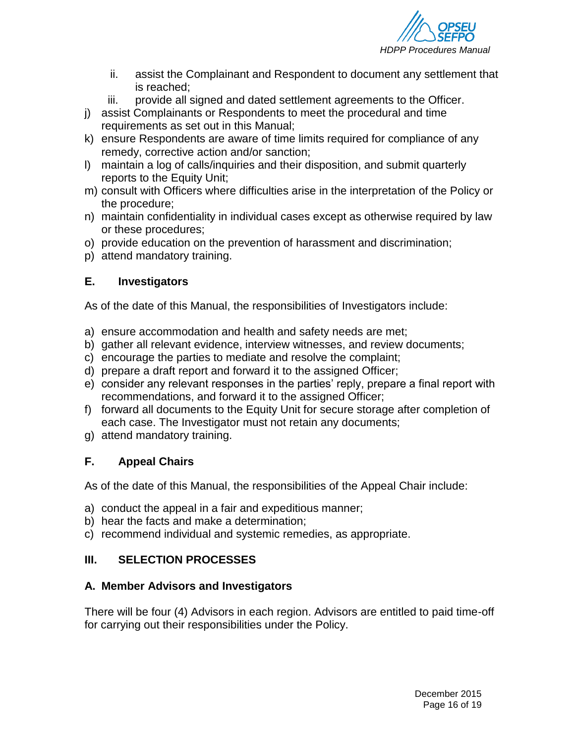

- ii. assist the Complainant and Respondent to document any settlement that is reached;
- iii. provide all signed and dated settlement agreements to the Officer.
- j) assist Complainants or Respondents to meet the procedural and time requirements as set out in this Manual;
- k) ensure Respondents are aware of time limits required for compliance of any remedy, corrective action and/or sanction;
- l) maintain a log of calls/inquiries and their disposition, and submit quarterly reports to the Equity Unit;
- m) consult with Officers where difficulties arise in the interpretation of the Policy or the procedure;
- n) maintain confidentiality in individual cases except as otherwise required by law or these procedures;
- o) provide education on the prevention of harassment and discrimination;
- p) attend mandatory training.

## **E. Investigators**

As of the date of this Manual, the responsibilities of Investigators include:

- a) ensure accommodation and health and safety needs are met;
- b) gather all relevant evidence, interview witnesses, and review documents;
- c) encourage the parties to mediate and resolve the complaint;
- d) prepare a draft report and forward it to the assigned Officer;
- e) consider any relevant responses in the parties' reply, prepare a final report with recommendations, and forward it to the assigned Officer;
- f) forward all documents to the Equity Unit for secure storage after completion of each case. The Investigator must not retain any documents;
- g) attend mandatory training.

## **F. Appeal Chairs**

As of the date of this Manual, the responsibilities of the Appeal Chair include:

- a) conduct the appeal in a fair and expeditious manner;
- b) hear the facts and make a determination;
- c) recommend individual and systemic remedies, as appropriate.

# <span id="page-15-0"></span>**III. SELECTION PROCESSES**

## **A. Member Advisors and Investigators**

There will be four (4) Advisors in each region. Advisors are entitled to paid time-off for carrying out their responsibilities under the Policy.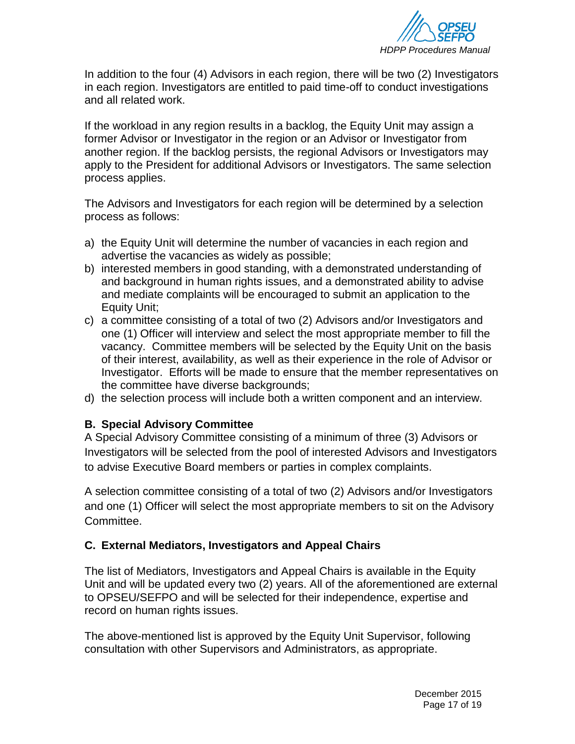

In addition to the four (4) Advisors in each region, there will be two (2) Investigators in each region. Investigators are entitled to paid time-off to conduct investigations and all related work.

If the workload in any region results in a backlog, the Equity Unit may assign a former Advisor or Investigator in the region or an Advisor or Investigator from another region. If the backlog persists, the regional Advisors or Investigators may apply to the President for additional Advisors or Investigators. The same selection process applies.

The Advisors and Investigators for each region will be determined by a selection process as follows:

- a) the Equity Unit will determine the number of vacancies in each region and advertise the vacancies as widely as possible;
- b) interested members in good standing, with a demonstrated understanding of and background in human rights issues, and a demonstrated ability to advise and mediate complaints will be encouraged to submit an application to the Equity Unit;
- c) a committee consisting of a total of two (2) Advisors and/or Investigators and one (1) Officer will interview and select the most appropriate member to fill the vacancy. Committee members will be selected by the Equity Unit on the basis of their interest, availability, as well as their experience in the role of Advisor or Investigator. Efforts will be made to ensure that the member representatives on the committee have diverse backgrounds;
- d) the selection process will include both a written component and an interview.

## **B. Special Advisory Committee**

A Special Advisory Committee consisting of a minimum of three (3) Advisors or Investigators will be selected from the pool of interested Advisors and Investigators to advise Executive Board members or parties in complex complaints.

A selection committee consisting of a total of two (2) Advisors and/or Investigators and one (1) Officer will select the most appropriate members to sit on the Advisory Committee.

## **C. External Mediators, Investigators and Appeal Chairs**

The list of Mediators, Investigators and Appeal Chairs is available in the Equity Unit and will be updated every two (2) years. All of the aforementioned are external to OPSEU/SEFPO and will be selected for their independence, expertise and record on human rights issues.

The above-mentioned list is approved by the Equity Unit Supervisor, following consultation with other Supervisors and Administrators, as appropriate.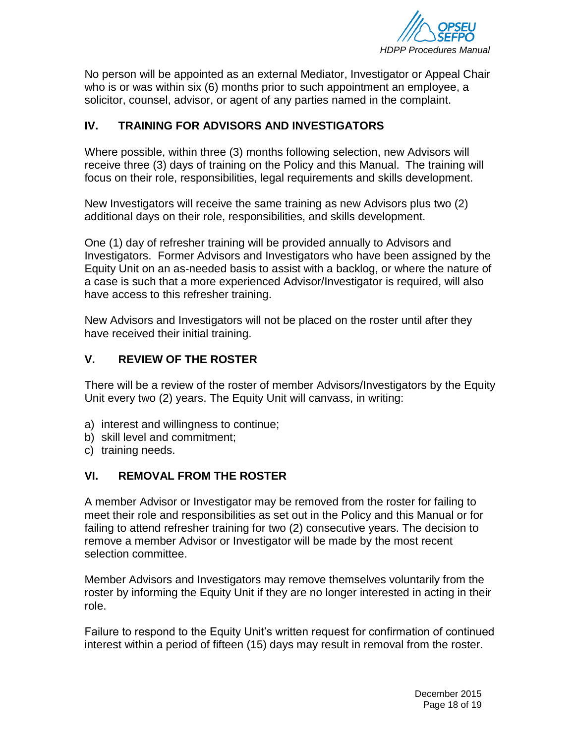

No person will be appointed as an external Mediator, Investigator or Appeal Chair who is or was within six (6) months prior to such appointment an employee, a solicitor, counsel, advisor, or agent of any parties named in the complaint.

## <span id="page-17-0"></span>**IV. TRAINING FOR ADVISORS AND INVESTIGATORS**

Where possible, within three (3) months following selection, new Advisors will receive three (3) days of training on the Policy and this Manual. The training will focus on their role, responsibilities, legal requirements and skills development.

New Investigators will receive the same training as new Advisors plus two (2) additional days on their role, responsibilities, and skills development.

One (1) day of refresher training will be provided annually to Advisors and Investigators. Former Advisors and Investigators who have been assigned by the Equity Unit on an as-needed basis to assist with a backlog, or where the nature of a case is such that a more experienced Advisor/Investigator is required, will also have access to this refresher training.

New Advisors and Investigators will not be placed on the roster until after they have received their initial training.

## <span id="page-17-1"></span>**V. REVIEW OF THE ROSTER**

There will be a review of the roster of member Advisors/Investigators by the Equity Unit every two (2) years. The Equity Unit will canvass, in writing:

- a) interest and willingness to continue;
- b) skill level and commitment;
- c) training needs.

## <span id="page-17-2"></span>**VI. REMOVAL FROM THE ROSTER**

A member Advisor or Investigator may be removed from the roster for failing to meet their role and responsibilities as set out in the Policy and this Manual or for failing to attend refresher training for two (2) consecutive years. The decision to remove a member Advisor or Investigator will be made by the most recent selection committee.

Member Advisors and Investigators may remove themselves voluntarily from the roster by informing the Equity Unit if they are no longer interested in acting in their role.

Failure to respond to the Equity Unit's written request for confirmation of continued interest within a period of fifteen (15) days may result in removal from the roster.